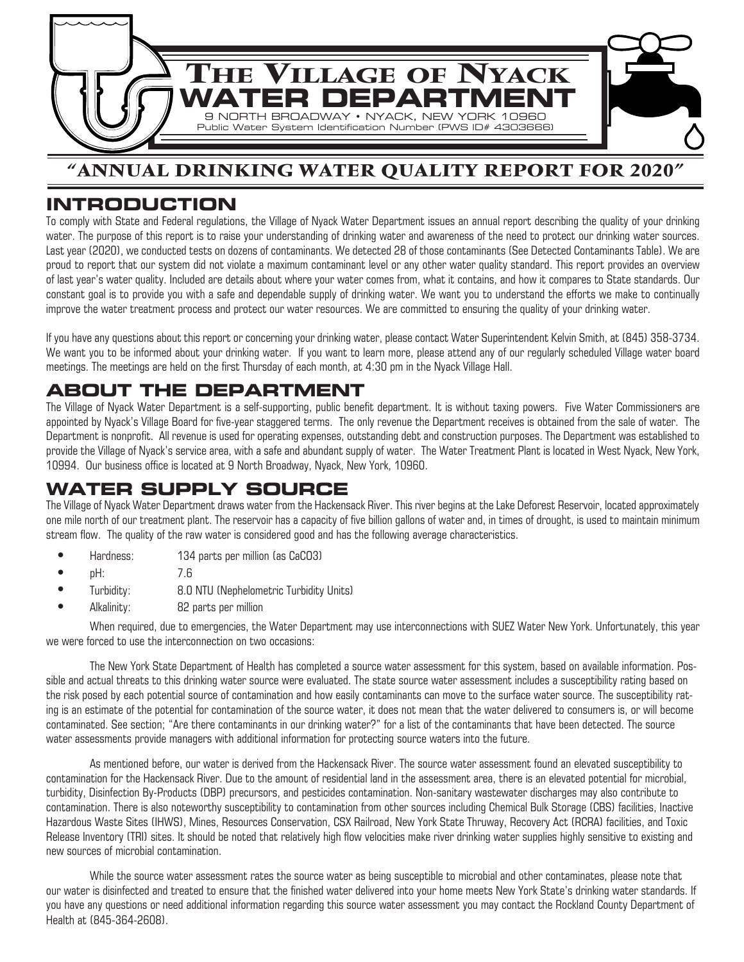

## **"ANNUAL DRINKING WATER QUALITY REPORT FOR 2020"**

## **INTRODUCTION**

To comply with State and Federal regulations, the Village of Nyack Water Department issues an annual report describing the quality of your drinking water. The purpose of this report is to raise your understanding of drinking water and awareness of the need to protect our drinking water sources. Last year (2020), we conducted tests on dozens of contaminants. We detected 28 of those contaminants (See Detected Contaminants Table). We are proud to report that our system did not violate a maximum contaminant level or any other water quality standard. This report provides an overview of last year's water quality. Included are details about where your water comes from, what it contains, and how it compares to State standards. Our constant goal is to provide you with a safe and dependable supply of drinking water. We want you to understand the efforts we make to continually improve the water treatment process and protect our water resources. We are committed to ensuring the quality of your drinking water.

If you have any questions about this report or concerning your drinking water, please contact Water Superintendent Kelvin Smith, at (845) 358-3734. We want you to be informed about your drinking water. If you want to learn more, please attend any of our regularly scheduled Village water board meetings. The meetings are held on the first Thursday of each month, at 4:30 pm in the Nyack Village Hall.

## **ABOUT THE DEPARTMENT**

The Village of Nyack Water Department is a self-supporting, public benefit department. It is without taxing powers. Five Water Commissioners are appointed by Nyack's Village Board for five-year staggered terms. The only revenue the Department receives is obtained from the sale of water. The Department is nonprofit. All revenue is used for operating expenses, outstanding debt and construction purposes. The Department was established to provide the Village of Nyack's service area, with a safe and abundant supply of water. The Water Treatment Plant is located in West Nyack, New York, 10994. Our business office is located at 9 North Broadway, Nyack, New York, 10960.

## **WATER SUPPLY SOURCE**

The Village of Nyack Water Department draws water from the Hackensack River. This river begins at the Lake Deforest Reservoir, located approximately one mile north of our treatment plant. The reservoir has a capacity of five billion gallons of water and, in times of drought, is used to maintain minimum stream flow. The quality of the raw water is considered good and has the following average characteristics. 

- **•** Hardness: 134 parts per million (as CaCO3)
- **•** pH: 7.6
	- **•** Turbidity: 8.0 NTU (Nephelometric Turbidity Units)
	- **•** Alkalinity: 82 parts per million

When required, due to emergencies, the Water Department may use interconnections with SUEZ Water New York. Unfortunately, this year we were forced to use the interconnection on two occasions:

The New York State Department of Health has completed a source water assessment for this system, based on available information. Possible and actual threats to this drinking water source were evaluated. The state source water assessment includes a susceptibility rating based on the risk posed by each potential source of contamination and how easily contaminants can move to the surface water source. The susceptibility rating is an estimate of the potential for contamination of the source water, it does not mean that the water delivered to consumers is, or will become contaminated. See section; "Are there contaminants in our drinking water?" for a list of the contaminants that have been detected. The source water assessments provide managers with additional information for protecting source waters into the future.

As mentioned before, our water is derived from the Hackensack River. The source water assessment found an elevated susceptibility to contamination for the Hackensack River. Due to the amount of residential land in the assessment area, there is an elevated potential for microbial, turbidity, Disinfection By-Products (DBP) precursors, and pesticides contamination. Non-sanitary wastewater discharges may also contribute to contamination. There is also noteworthy susceptibility to contamination from other sources including Chemical Bulk Storage (CBS) facilities, Inactive Hazardous Waste Sites (IHWS), Mines, Resources Conservation, CSX Railroad, New York State Thruway, Recovery Act (RCRA) facilities, and Toxic Release Inventory (TRI) sites. It should be noted that relatively high flow velocities make river drinking water supplies highly sensitive to existing and new sources of microbial contamination.

While the source water assessment rates the source water as being susceptible to microbial and other contaminates, please note that our water is disinfected and treated to ensure that the finished water delivered into your home meets New York State's drinking water standards. If you have any questions or need additional information regarding this source water assessment you may contact the Rockland County Department of Health at (845-364-2608).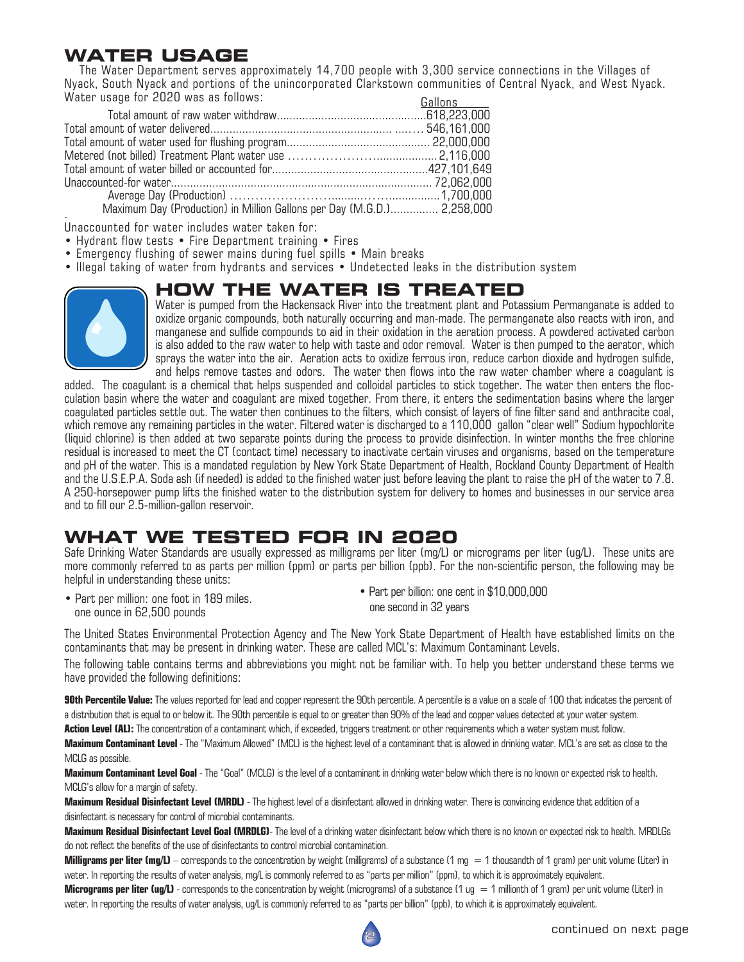## **WATER USAGE**

 The Water Department serves approximately 14,700 people with 3,300 service connections in the Villages of Nyack, South Nyack and portions of the unincorporated Clarkstown communities of Central Nyack, and West Nyack. Water usage for 2020 was as follows: <u>Gallons</u>

|                                                                                                                                                                                                                                                                                                                                                                                       | <u>Uullulu</u> |
|---------------------------------------------------------------------------------------------------------------------------------------------------------------------------------------------------------------------------------------------------------------------------------------------------------------------------------------------------------------------------------------|----------------|
|                                                                                                                                                                                                                                                                                                                                                                                       |                |
|                                                                                                                                                                                                                                                                                                                                                                                       |                |
|                                                                                                                                                                                                                                                                                                                                                                                       |                |
|                                                                                                                                                                                                                                                                                                                                                                                       |                |
|                                                                                                                                                                                                                                                                                                                                                                                       |                |
|                                                                                                                                                                                                                                                                                                                                                                                       |                |
|                                                                                                                                                                                                                                                                                                                                                                                       |                |
| $M_{\text{min}}$ $D_{\text{min}}$ $D_{\text{max}}$ $D_{\text{max}}$ $M_{\text{min}}$ $D_{\text{min}}$ $D_{\text{max}}$ $D_{\text{max}}$ $M_{\text{max}}$ $D_{\text{max}}$ $D_{\text{max}}$ $D_{\text{max}}$ $D_{\text{max}}$ $D_{\text{max}}$ $D_{\text{max}}$ $D_{\text{max}}$ $D_{\text{max}}$ $D_{\text{max}}$ $D_{\text{max}}$ $D_{\text{max}}$ $D_{\text{max}}$ $D_{\text{max}}$ |                |

Maximum Day (Production) in Million Gallons per Day (M.G.D.)............... 2,258,000

. Unaccounted for water includes water taken for:

- Hydrant flow tests Fire Department training Fires
- Emergency flushing of sewer mains during fuel spills Main breaks
- Illegal taking of water from hydrants and services Undetected leaks in the distribution system

# **HOW THE WATER IS TREATED**



Water is pumped from the Hackensack River into the treatment plant and Potassium Permanganate is added to oxidize organic compounds, both naturally occurring and man-made. The permanganate also reacts with iron, and manganese and sulfide compounds to aid in their oxidation in the aeration process. A powdered activated carbon is also added to the raw water to help with taste and odor removal. Water is then pumped to the aerator, which sprays the water into the air. Aeration acts to oxidize ferrous iron, reduce carbon dioxide and hydrogen sulfide, and helps remove tastes and odors. The water then flows into the raw water chamber where a coagulant is

added. The coagulant is a chemical that helps suspended and colloidal particles to stick together. The water then enters the flocculation basin where the water and coagulant are mixed together. From there, it enters the sedimentation basins where the larger coagulated particles settle out. The water then continues to the filters, which consist of layers of fine filter sand and anthracite coal, which remove any remaining particles in the water. Filtered water is discharged to a 110,000 gallon "clear well" Sodium hypochlorite (liquid chlorine) is then added at two separate points during the process to provide disinfection. In winter months the free chlorine residual is increased to meet the CT (contact time) necessary to inactivate certain viruses and organisms, based on the temperature and pH of the water. This is a mandated regulation by New York State Department of Health, Rockland County Department of Health and the U.S.E.P.A. Soda ash (if needed) is added to the finished water just before leaving the plant to raise the pH of the water to 7.8. A 250-horsepower pump lifts the finished water to the distribution system for delivery to homes and businesses in our service area and to fill our 2.5-million-gallon reservoir.

## **WHAT WE TESTED FOR IN 2020**

Safe Drinking Water Standards are usually expressed as milligrams per liter (mg/L) or micrograms per liter (ug/L). These units are more commonly referred to as parts per million (ppm) or parts per billion (ppb). For the non-scientific person, the following may be helpful in understanding these units:

• Part per million: one foot in 189 miles. one ounce in 62,500 pounds

• Part per billion: one cent in \$10,000,000 one second in 32 years

The United States Environmental Protection Agency and The New York State Department of Health have established limits on the contaminants that may be present in drinking water. These are called MCL's: Maximum Contaminant Levels.

The following table contains terms and abbreviations you might not be familiar with. To help you better understand these terms we have provided the following definitions:

**90th Percentile Value:** The values reported for lead and copper represent the 90th percentile. A percentile is a value on a scale of 100 that indicates the percent of a distribution that is equal to or below it. The 90th percentile is equal to or greater than 90% of the lead and copper values detected at your water system.

**Action Level (AL):** The concentration of a contaminant which, if exceeded, triggers treatment or other requirements which a water system must follow.

**Maximum Contaminant Level** - The "Maximum Allowed" (MCL) is the highest level of a contaminant that is allowed in drinking water. MCL's are set as close to the MCLG as possible.

**Maximum Contaminant Level Goal** - The "Goal" (MCLG) is the level of a contaminant in drinking water below which there is no known or expected risk to health. MCLG's allow for a margin of safety.

**Maximum Residual Disinfectant Level (MRDL)** - The highest level of a disinfectant allowed in drinking water. There is convincing evidence that addition of a disinfectant is necessary for control of microbial contaminants.

**Maximum Residual Disinfectant Level Goal (MRDLG)**- The level of a drinking water disinfectant below which there is no known or expected risk to health. MRDLGs do not reflect the benefits of the use of disinfectants to control microbial contamination.

**Milligrams per liter (mg/L)** – corresponds to the concentration by weight (milligrams) of a substance (1 mg = 1 thousandth of 1 gram) per unit volume (Liter) in water. In reporting the results of water analysis, mg/L is commonly referred to as "parts per million" (ppm), to which it is approximately equivalent.

**Micrograms per liter (ug/L)** - corresponds to the concentration by weight (micrograms) of a substance (1 ug = 1 millionth of 1 gram) per unit volume (Liter) in water. In reporting the results of water analysis, ug/L is commonly referred to as "parts per billion" (ppb), to which it is approximately equivalent.

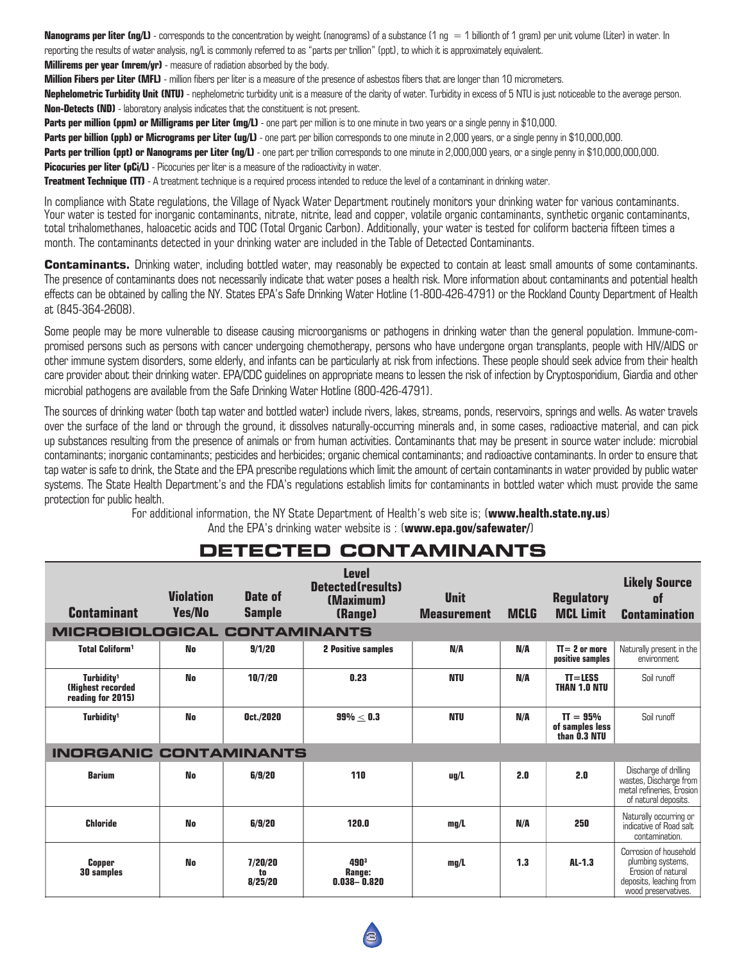**Nanograms per liter (ng/L)** - corresponds to the concentration by weight (nanograms) of a substance (1 ng = 1 billionth of 1 gram) per unit volume (Liter) in water. In reporting the results of water analysis, ng/L is commonly referred to as "parts per trillion" (ppt), to which it is approximately equivalent. **Millirems per year (mrem/yr)** - measure of radiation absorbed by the body.

**Million Fibers per Liter (MFL)** - million fibers per liter is a measure of the presence of asbestos fibers that are longer than 10 micrometers.

**Nephelometric Turbidity Unit (NTU)** - nephelometric turbidity unit is a measure of the clarity of water. Turbidity in excess of 5 NTU is just noticeable to the average person. **Non-Detects (ND)** - laboratory analysis indicates that the constituent is not present.

**Parts per million (ppm) or Milligrams per Liter (mg/L)** - one part per million is to one minute in two years or a single penny in \$10,000.

Parts per billion (ppb) or Micrograms per Liter (ug/L) - one part per billion corresponds to one minute in 2,000 years, or a single penny in \$10,000,000. Parts per trillion (ppt) or Nanograms per Liter (ng/L) - one part per trillion corresponds to one minute in 2,000,000 years, or a single penny in \$10,000,000,000,000 **Picocuries per liter (pCi/L)** - Picocuries per liter is a measure of the radioactivity in water.

**Treatment Technique (TT)** - A treatment technique is a required process intended to reduce the level of a contaminant in drinking water.

In compliance with State regulations, the Village of Nyack Water Department routinely monitors your drinking water for various contaminants. Your water is tested for inorganic contaminants, nitrate, nitrite, lead and copper, volatile organic contaminants, synthetic organic contaminants, total trihalomethanes, haloacetic acids and TOC (Total Organic Carbon). Additionally, your water is tested for coliform bacteria fifteen times a month. The contaminants detected in your drinking water are included in the Table of Detected Contaminants.

Contaminants. Drinking water, including bottled water, may reasonably be expected to contain at least small amounts of some contaminants. The presence of contaminants does not necessarily indicate that water poses a health risk. More information about contaminants and potential health effects can be obtained by calling the NY. States EPA's Safe Drinking Water Hotline (1-800-426-4791) or the Rockland County Department of Health at (845-364-2608).

Some people may be more vulnerable to disease causing microorganisms or pathogens in drinking water than the general population. Immune-compromised persons such as persons with cancer undergoing chemotherapy, persons who have undergone organ transplants, people with HIV/AIDS or other immune system disorders, some elderly, and infants can be particularly at risk from infections. These people should seek advice from their health care provider about their drinking water. EPA/CDC guidelines on appropriate means to lessen the risk of infection by Cryptosporidium, Giardia and other microbial pathogens are available from the Safe Drinking Water Hotline (800-426-4791).

The sources of drinking water (both tap water and bottled water) include rivers, lakes, streams, ponds, reservoirs, springs and wells. As water travels over the surface of the land or through the ground, it dissolves naturally-occurring minerals and, in some cases, radioactive material, and can pick up substances resulting from the presence of animals or from human activities. Contaminants that may be present in source water include: microbial contaminants; inorganic contaminants; pesticides and herbicides; organic chemical contaminants; and radioactive contaminants. In order to ensure that tap water is safe to drink, the State and the EPA prescribe regulations which limit the amount of certain contaminants in water provided by public water systems. The State Health Department's and the FDA's regulations establish limits for contaminants in bottled water which must provide the same protection for public health.

> For additional information, the NY State Department of Health's web site is; (**www.health.state.ny.us**) And the EPA's drinking water website is : (**www.epa.gov/safewater/**)

| <b>Contaminant</b>                                                       | <b>Violation</b><br><b>Yes/No</b> | Date of<br><b>Sample</b> | <b>Level</b><br>Detected(results)<br>(Maximum)<br>(Range) | <b>Unit</b><br><b>Measurement</b> | <b>MCLG</b> | <b>Regulatory</b><br><b>MCL Limit</b>         | <b>Likely Source</b><br>0f<br><b>Contamination</b>                                                                  |
|--------------------------------------------------------------------------|-----------------------------------|--------------------------|-----------------------------------------------------------|-----------------------------------|-------------|-----------------------------------------------|---------------------------------------------------------------------------------------------------------------------|
| <b>MICROBIOLOGICAL CONTAMINANTS</b>                                      |                                   |                          |                                                           |                                   |             |                                               |                                                                                                                     |
| <b>Total Coliform<sup>1</sup></b>                                        | No                                | 9/1/20                   | <b>2 Positive samples</b>                                 | N/A                               | N/A         | $TI = 2$ or more<br>positive samples          | Naturally present in the<br>environment                                                                             |
| Turbidity <sup>1</sup><br><b>(Highest recorded)</b><br>reading for 2015) | <b>No</b>                         | 10/7/20                  | 0.23                                                      | <b>NTU</b>                        | N/A         | $T = LESS$<br><b>THAN 1.0 NTU</b>             | Soil runoff                                                                                                         |
| Turbidity <sup>1</sup>                                                   | No                                | Oct./2020                | $99\% < 0.3$                                              | NTU                               | N/A         | $TT = 95%$<br>of samples less<br>than 0.3 NTU | Soil runoff                                                                                                         |
| <b>INORGANIC CONTAMINANTS</b>                                            |                                   |                          |                                                           |                                   |             |                                               |                                                                                                                     |
| <b>Barium</b>                                                            | No                                | 6/9/20                   | 110                                                       | uq/L                              | 2.0         | 2.0                                           | Discharge of drilling<br>wastes, Discharge from<br>metal refineries, Erosion<br>of natural deposits.                |
| <b>Chloride</b>                                                          | <b>No</b>                         | 6/9/20                   | 120.0                                                     | mq/L                              | N/A         | 250                                           | Naturally occurring or<br>indicative of Road salt<br>contamination.                                                 |
| <b>Copper</b><br><b>30 samples</b>                                       | No                                | 7/20/20<br>to<br>8/25/20 | 4903<br>Range:<br>$0.038 - 0.820$                         | mq/L                              | 1.3         | $AL-1.3$                                      | Corrosion of household<br>plumbing systems,<br>Erosion of natural<br>deposits, leaching from<br>wood preservatives. |

## **DETECTED CONTAMINANTS**

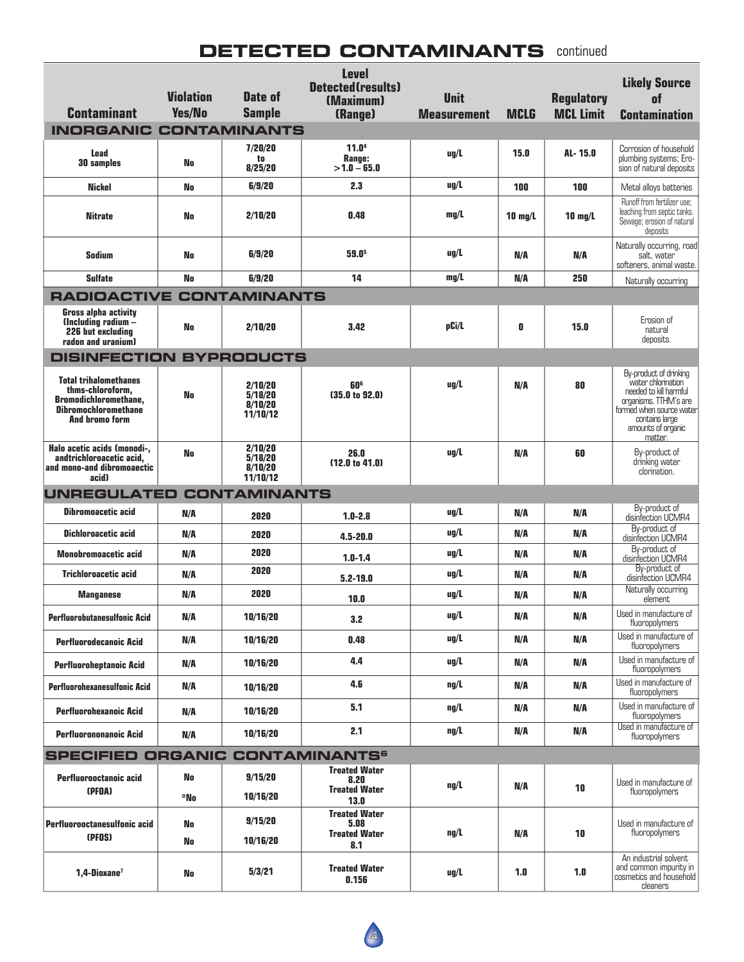#### **BUTED CONTAININAINT DETECTED CONTAMINANTS** continued

| <b>Contaminant</b><br><b>INORGANIC</b>                                                                                            | <b>Violation</b><br><b>Yes/No</b> | Date of<br><b>Sample</b><br><b>CONTAMINANTS</b> | <b>Level</b><br><b>Detected (results)</b><br>(Maximum)<br>(Range) | <b>Unit</b><br><b>Measurement</b> | <b>MCLG</b>       | <b>Regulatory</b><br><b>MCL Limit</b> | <b>Likely Source</b><br>nt<br><b>Contamination</b>                                                                                                                             |
|-----------------------------------------------------------------------------------------------------------------------------------|-----------------------------------|-------------------------------------------------|-------------------------------------------------------------------|-----------------------------------|-------------------|---------------------------------------|--------------------------------------------------------------------------------------------------------------------------------------------------------------------------------|
|                                                                                                                                   |                                   |                                                 |                                                                   |                                   |                   |                                       |                                                                                                                                                                                |
| <b>Lead</b><br><b>30 samples</b>                                                                                                  | No                                | 7/20/20<br>to<br>8/25/20                        | 11.0 <sup>4</sup><br>Range:<br>$>1.0 - 65.0$                      | $\mu$ g/L                         | 15.0              | AL-15.0                               | Corrosion of household<br>plumbing systems; Ero-<br>sion of natural deposits                                                                                                   |
| <b>Nickel</b>                                                                                                                     | No                                | 6/9/20                                          | 2.3                                                               | uq/L                              | 100               | 100                                   | Metal allovs batteries                                                                                                                                                         |
| <b>Nitrate</b>                                                                                                                    | No                                | 2/10/20                                         | 0.48                                                              | mq/L                              | $10 \text{ mq/L}$ | $10 \text{ mg/L}$                     | Runoff from fertilizer use;<br>leaching from septic tanks.<br>Sewage; erosion of natural<br>deposits                                                                           |
| <b>Sodium</b>                                                                                                                     | No                                | 6/9/20                                          | 59.0 <sup>5</sup>                                                 | $\mu$ g/L                         | N/A               | N/A                                   | Naturally occurring, road<br>salt, water<br>softeners, animal waste.                                                                                                           |
| <b>Sulfate</b>                                                                                                                    | No                                | 6/9/20                                          | 14                                                                | mq/L                              | N/A               | 250                                   | Naturally occurring                                                                                                                                                            |
| <b>RADIOACTIVE CONTAMINANTS</b>                                                                                                   |                                   |                                                 |                                                                   |                                   |                   |                                       |                                                                                                                                                                                |
| <b>Gross alpha activity</b><br>(Including radium -<br>226 but excluding<br>radon and uranium)                                     | No                                | 2/10/20                                         | 3.42                                                              | pCi/L                             | 0                 | 15.0                                  | Erosion of<br>natural<br>deposits.                                                                                                                                             |
| <b>DISINFECTION BYPRODUCTS</b>                                                                                                    |                                   |                                                 |                                                                   |                                   |                   |                                       |                                                                                                                                                                                |
| <b>Total trihalomethanes</b><br>thms-chloroform.<br><b>Bromodichloromethane.</b><br><b>Dibromochloromethane</b><br>And bromo form | No                                | 2/10/20<br>5/18/20<br>8/10/20<br>11/10/12       | 60°<br>(35.0 to 92.0)                                             | $\mu$ g/L                         | N/A               | 80                                    | By-product of drinking<br>water chlorination<br>needed to kill harmful<br>organisms. TTHM's are<br>formed when source water<br>contains large<br>amounts of organic<br>matter. |
| Halo acetic acids (monodi-,<br>andtrichloroacetic acid,<br>and mono-and dibromoaectic<br>acid)                                    | No                                | 2/10/20<br>5/18/20<br>8/10/20<br>11/10/12       | 26.0<br>(12.0 to 41.0)                                            | $\mu$ g/L                         | N/A               | 60                                    | By-product of<br>drinking water<br>clorination.                                                                                                                                |
| <b>UNREGULATED</b><br><b>CONTAMINANTS</b>                                                                                         |                                   |                                                 |                                                                   |                                   |                   |                                       |                                                                                                                                                                                |
| <b>Dibromoacetic acid</b>                                                                                                         | N/A                               | 2020                                            | $1.0 - 2.8$                                                       | $\mu$ g/L                         | N/A               | N/A                                   | By-product of<br>disinfection UCMR4                                                                                                                                            |
| <b>Dichloroacetic acid</b>                                                                                                        | N/A                               | 2020                                            | $4.5 - 20.0$                                                      | $\mu$ g/L                         | N/A               | N/A                                   | By-product of<br>disinfection UCMR4                                                                                                                                            |
| <b>Monobromoacetic acid</b>                                                                                                       | N/A                               | 2020                                            | $1.0 - 1.4$                                                       | $\mu$ g/L                         | N/A               | N/A                                   | By-product of<br>disinfection UCMR4                                                                                                                                            |
| <b>Trichloroacetic acid</b>                                                                                                       | N/A                               | 2020                                            | $5.2 - 19.0$                                                      | $\mu$ g/L                         | N/A               | N/A                                   | By-product of<br>disinfection UCMR4                                                                                                                                            |
| <b>Manganese</b>                                                                                                                  | N/A                               | 2020                                            | 10.0                                                              | uq/L                              | N/A               | N/A                                   | Naturally occurring<br>element                                                                                                                                                 |
| <b>Perfluorobutanesulfonic Acid</b>                                                                                               | N/A                               | 10/16/20                                        | 3.2                                                               | ug/L                              | N/A               | N/A                                   | Used in manufacture of<br>fluoropolymers                                                                                                                                       |
| <b>Perfluorodecanoic Acid</b>                                                                                                     | N/A                               | 10/16/20                                        | 0.48                                                              | ug/L                              | N/A               | N/A                                   | Used in manufacture of<br>fluoropolymers                                                                                                                                       |
| <b>Perfluoroheptanoic Acid</b>                                                                                                    | N/A                               | 10/16/20                                        | 4.4                                                               | ug/L                              | N/A               | N/A                                   | Used in manufacture of<br>fluoropolymers                                                                                                                                       |
| <b>Perfluorohexanesulfonic Acid</b>                                                                                               | N/A                               | 10/16/20                                        | 4.6                                                               | ng/L                              | N/A               | N/A                                   | Used in manufacture of<br>fluoropolymers                                                                                                                                       |
| <b>Perfluorohexanoic Acid</b>                                                                                                     | N/A                               | 10/16/20                                        | 5.1                                                               | $\frac{ng}{L}$                    | N/A               | N/A                                   | Used in manufacture of<br>fluoropolymers                                                                                                                                       |
| <b>Perfluorononanoic Acid</b>                                                                                                     | N/A                               | 10/16/20                                        | 2.1                                                               | $\frac{ng}{L}$                    | N/A               | N/A                                   | Used in manufacture of<br>fluoropolymers                                                                                                                                       |
| <b>SPECIFIED ORGANIC CONTAMINANTS<sup>6</sup></b>                                                                                 |                                   |                                                 |                                                                   |                                   |                   |                                       |                                                                                                                                                                                |
| Perfluorooctanoic acid                                                                                                            | No                                | 9/15/20                                         | <b>Treated Water</b>                                              |                                   |                   |                                       |                                                                                                                                                                                |
| (PFOA)                                                                                                                            | *No                               | 10/16/20                                        | 8.20<br><b>Treated Water</b><br>13.0                              | $\frac{ng}{L}$                    | N/A               | 10                                    | Used in manufacture of<br>fluoropolymers                                                                                                                                       |
| Perfluorooctanesulfonic acid<br>(PFOS)                                                                                            | No<br>No                          | 9/15/20<br>10/16/20                             | <b>Treated Water</b><br>5.08<br><b>Treated Water</b><br>8.1       | $\frac{ng}{L}$                    | N/A               | 10                                    | Used in manufacture of<br>fluoropolymers                                                                                                                                       |
| 1,4-Dioxane <sup>7</sup>                                                                                                          | <b>No</b>                         | 5/3/21                                          | <b>Treated Water</b><br>0.156                                     | ug/L                              | 1.0               | 1.0                                   | An industrial solvent<br>and common impurity in<br>cosmetics and household<br>cleaners                                                                                         |

By-product of

Naturally occurring or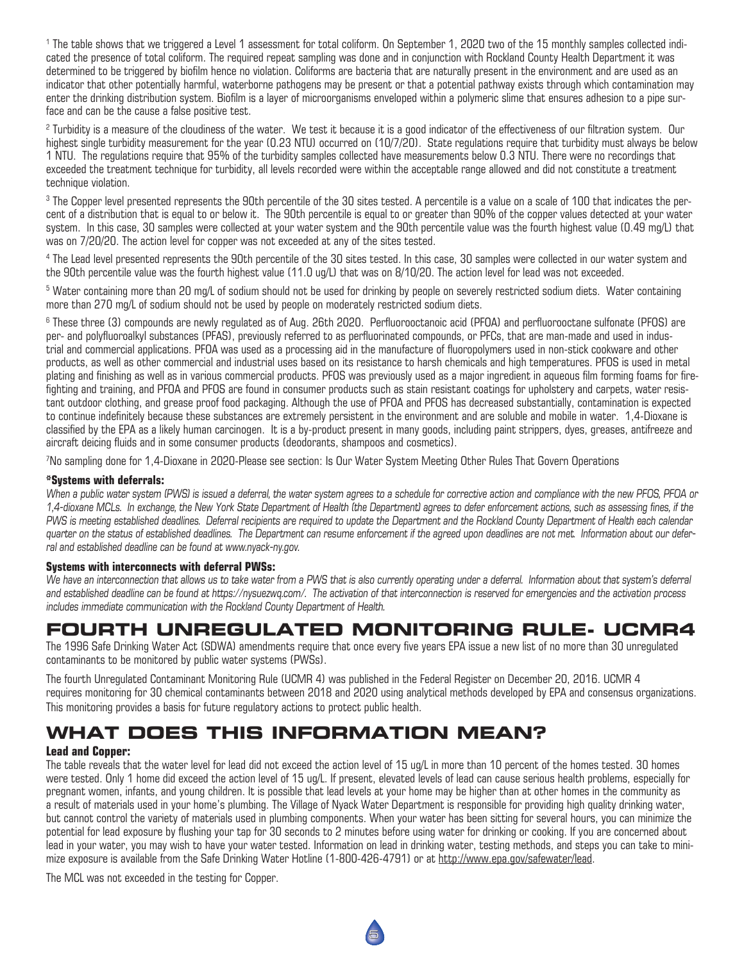1 The table shows that we triggered a Level 1 assessment for total coliform. On September 1, 2020 two of the 15 monthly samples collected indicated the presence of total coliform. The required repeat sampling was done and in conjunction with Rockland County Health Department it was determined to be triggered by biofilm hence no violation. Coliforms are bacteria that are naturally present in the environment and are used as an indicator that other potentially harmful, waterborne pathogens may be present or that a potential pathway exists through which contamination may enter the drinking distribution system. Biofilm is a layer of microorganisms enveloped within a polymeric slime that ensures adhesion to a pipe surface and can be the cause a false positive test.

 $^2$  Turbidity is a measure of the cloudiness of the water. We test it because it is a good indicator of the effectiveness of our filtration system. Our highest single turbidity measurement for the year (0.23 NTU) occurred on (10/7/20). State regulations require that turbidity must always be below 1 NTU. The regulations require that 95% of the turbidity samples collected have measurements below 0.3 NTU. There were no recordings that exceeded the treatment technique for turbidity, all levels recorded were within the acceptable range allowed and did not constitute a treatment technique violation.

 $^3$  The Copper level presented represents the 90th percentile of the 30 sites tested. A percentile is a value on a scale of 100 that indicates the percent of a distribution that is equal to or below it. The 90th percentile is equal to or greater than 90% of the copper values detected at your water system. In this case, 30 samples were collected at your water system and the 90th percentile value was the fourth highest value (0.49 mg/L) that was on 7/20/20. The action level for copper was not exceeded at any of the sites tested.

4 The Lead level presented represents the 90th percentile of the 30 sites tested. In this case, 30 samples were collected in our water system and the 90th percentile value was the fourth highest value (11.0 ug/L) that was on 8/10/20. The action level for lead was not exceeded.

 $^5$  Water containing more than 20 mg/L of sodium should not be used for drinking by people on severely restricted sodium diets. Water containing more than 270 mg/L of sodium should not be used by people on moderately restricted sodium diets.

6 These three (3) compounds are newly regulated as of Aug. 26th 2020. Perfluorooctanoic acid (PFOA) and perfluorooctane sulfonate (PFOS) are per- and polyfluoroalkyl substances (PFAS), previously referred to as perfluorinated compounds, or PFCs, that are man-made and used in industrial and commercial applications. PFOA was used as a processing aid in the manufacture of fluoropolymers used in non-stick cookware and other products, as well as other commercial and industrial uses based on its resistance to harsh chemicals and high temperatures. PFOS is used in metal plating and finishing as well as in various commercial products. PFOS was previously used as a major ingredient in aqueous film forming foams for firefighting and training, and PFOA and PFOS are found in consumer products such as stain resistant coatings for upholstery and carpets, water resistant outdoor clothing, and grease proof food packaging. Although the use of PFOA and PFOS has decreased substantially, contamination is expected to continue indefinitely because these substances are extremely persistent in the environment and are soluble and mobile in water. 1,4-Dioxane is classified by the EPA as a likely human carcinogen. It is a by-product present in many goods, including paint strippers, dyes, greases, antifreeze and aircraft deicing fluids and in some consumer products (deodorants, shampoos and cosmetics).

7 No sampling done for 1,4-Dioxane in 2020-Please see section: Is Our Water System Meeting Other Rules That Govern Operations

#### **\*Systems with deferrals:**

*When a public water system (PWS) is issued a deferral, the water system agrees to a schedule for corrective action and compliance with the new PFOS, PFOA or 1,4-dioxane MCLs. In exchange, the New York State Department of Health (the Department) agrees to defer enforcement actions, such as assessing fines, if the PWS is meeting established deadlines. Deferral recipients are required to update the Department and the Rockland County Department of Health each calendar quarter on the status of established deadlines. The Department can resume enforcement if the agreed upon deadlines are not met. Information about our deferral and established deadline can be found at www.nyack-ny.gov.*

#### **Systems with interconnects with deferral PWSs:**

We have an interconnection that allows us to take water from a PWS that is also currently operating under a deferral. Information about that system's deferral *and established deadline can be found at https://nysuezwq.com/. The activation of that interconnection is reserved for emergencies and the activation process includes immediate communication with the Rockland County Department of Health.*

## **FOURTH UNREGULATED MONITORING RULE- UCMR4**

The 1996 Safe Drinking Water Act (SDWA) amendments require that once every five years EPA issue a new list of no more than 30 unregulated contaminants to be monitored by public water systems (PWSs).

The fourth Unregulated Contaminant Monitoring Rule (UCMR 4) was published in the Federal Register on December 20, 2016. UCMR 4 requires monitoring for 30 chemical contaminants between 2018 and 2020 using analytical methods developed by EPA and consensus organizations. This monitoring provides a basis for future regulatory actions to protect public health.

## **WHAT DOES THIS INFORMATION MEAN?**

#### **Lead and Copper:**

The table reveals that the water level for lead did not exceed the action level of 15 ug/L in more than 10 percent of the homes tested. 30 homes were tested. Only 1 home did exceed the action level of 15 ug/L. If present, elevated levels of lead can cause serious health problems, especially for pregnant women, infants, and young children. It is possible that lead levels at your home may be higher than at other homes in the community as a result of materials used in your home's plumbing. The Village of Nyack Water Department is responsible for providing high quality drinking water, but cannot control the variety of materials used in plumbing components. When your water has been sitting for several hours, you can minimize the potential for lead exposure by flushing your tap for 30 seconds to 2 minutes before using water for drinking or cooking. If you are concerned about lead in your water, you may wish to have your water tested. Information on lead in drinking water, testing methods, and steps you can take to minimize exposure is available from the Safe Drinking Water Hotline (1-800-426-4791) or at http://www.epa.gov/safewater/lead.

5

The MCL was not exceeded in the testing for Copper.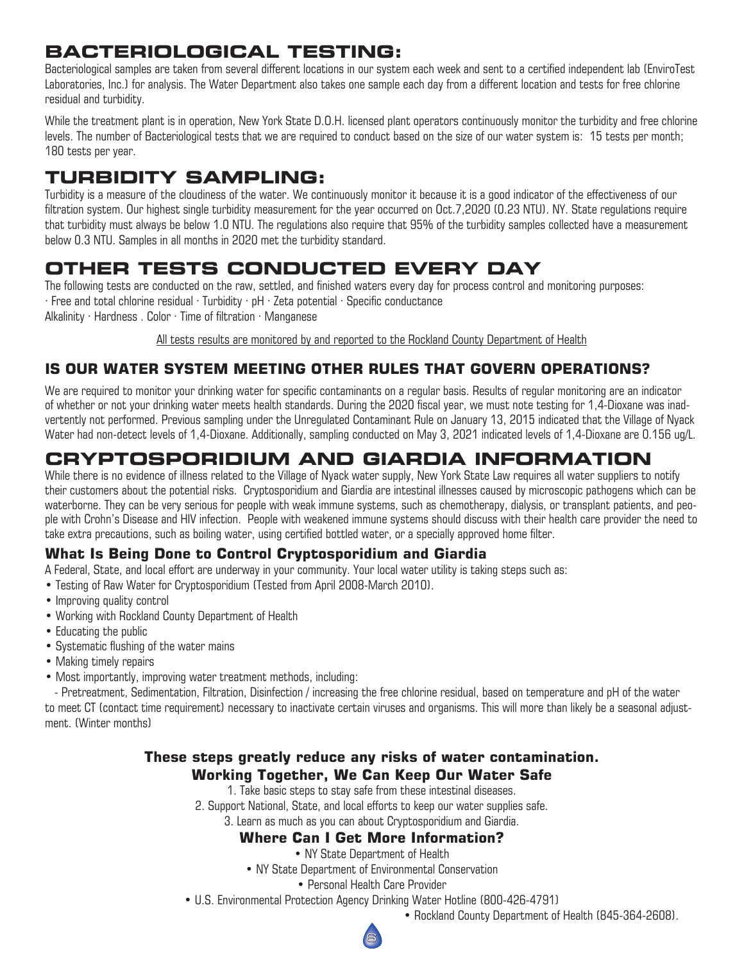# **BACTERIOLOGICAL TESTING:**

Bacteriological samples are taken from several different locations in our system each week and sent to a certified independent lab (EnviroTest Laboratories, Inc.) for analysis. The Water Department also takes one sample each day from a different location and tests for free chlorine residual and turbidity.

While the treatment plant is in operation, New York State D.O.H. licensed plant operators continuously monitor the turbidity and free chlorine levels. The number of Bacteriological tests that we are required to conduct based on the size of our water system is: 15 tests per month; 180 tests per year.

# **TURBIDITY SAMPLING:**

Turbidity is a measure of the cloudiness of the water. We continuously monitor it because it is a good indicator of the effectiveness of our filtration system. Our highest single turbidity measurement for the year occurred on Oct.7,2020 (0.23 NTU). NY. State regulations require that turbidity must always be below 1.0 NTU. The regulations also require that 95% of the turbidity samples collected have a measurement below 0.3 NTU. Samples in all months in 2020 met the turbidity standard.

# **OTHER TESTS CONDUCTED EVERY DAY**

The following tests are conducted on the raw, settled, and finished waters every day for process control and monitoring purposes: · Free and total chlorine residual · Turbidity · pH · Zeta potential · Specific conductance Alkalinity · Hardness . Color · Time of filtration · Manganese

All tests results are monitored by and reported to the Rockland County Department of Health

## **IS OUR WATER SYSTEM MEETING OTHER RULES THAT GOVERN OPERATIONS?**

We are required to monitor your drinking water for specific contaminants on a regular basis. Results of regular monitoring are an indicator of whether or not your drinking water meets health standards. During the 2020 fiscal year, we must note testing for 1,4-Dioxane was inadvertently not performed. Previous sampling under the Unregulated Contaminant Rule on January 13, 2015 indicated that the Village of Nyack Water had non-detect levels of 1,4-Dioxane. Additionally, sampling conducted on May 3, 2021 indicated levels of 1,4-Dioxane are 0.156 ug/L.

# **CRYPTOSPORIDIUM AND GIARDIA INFORMATION**

While there is no evidence of illness related to the Village of Nyack water supply, New York State Law requires all water suppliers to notify their customers about the potential risks. Cryptosporidium and Giardia are intestinal illnesses caused by microscopic pathogens which can be waterborne. They can be very serious for people with weak immune systems, such as chemotherapy, dialysis, or transplant patients, and people with Crohn's Disease and HIV infection. People with weakened immune systems should discuss with their health care provider the need to take extra precautions, such as boiling water, using certified bottled water, or a specially approved home filter.

## **What Is Being Done to Control Cryptosporidium and Giardia**

A Federal, State, and local effort are underway in your community. Your local water utility is taking steps such as:

- Testing of Raw Water for Cryptosporidium (Tested from April 2008-March 2010).
- Improving quality control
- Working with Rockland County Department of Health
- Educating the public
- Systematic flushing of the water mains
- Making timely repairs
- Most importantly, improving water treatment methods, including:

 - Pretreatment, Sedimentation, Filtration, Disinfection / increasing the free chlorine residual, based on temperature and pH of the water to meet CT (contact time requirement) necessary to inactivate certain viruses and organisms. This will more than likely be a seasonal adjustment. (Winter months)

### **These steps greatly reduce any risks of water contamination. Working Together, We Can Keep Our Water Safe**

1. Take basic steps to stay safe from these intestinal diseases.

2. Support National, State, and local efforts to keep our water supplies safe.

3. Learn as much as you can about Cryptosporidium and Giardia.

#### **Where Can I Get More Information?**

• NY State Department of Health

- NY State Department of Environmental Conservation
	- Personal Health Care Provider
- U.S. Environmental Protection Agency Drinking Water Hotline (800-426-4791)
	- Rockland County Department of Health (845-364-2608).

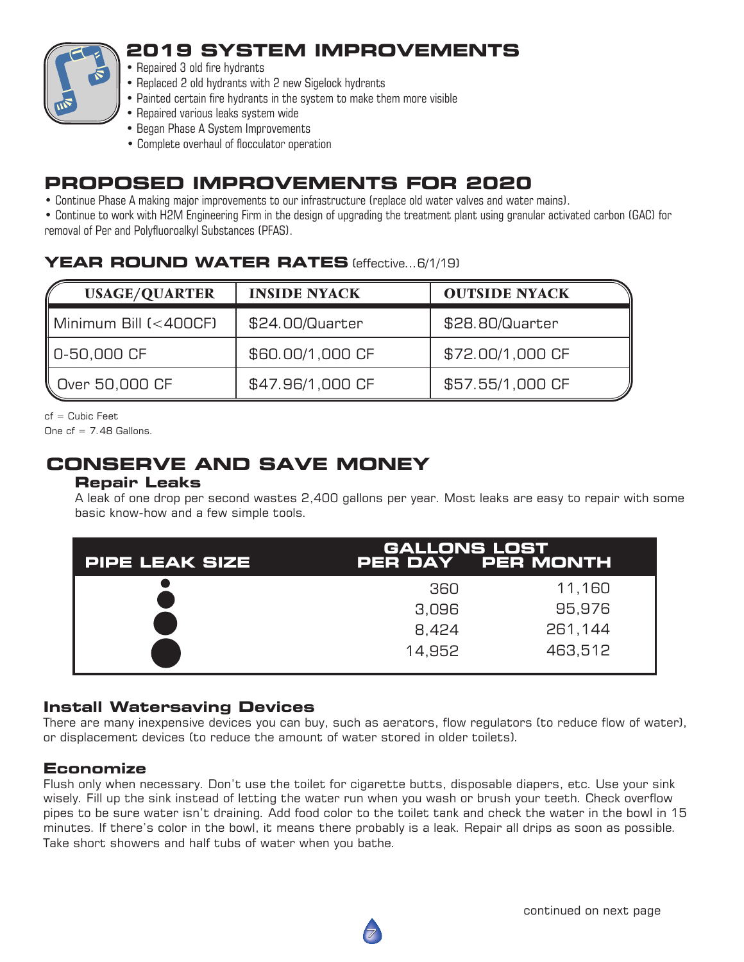

# **2019 SYSTEM IMPROVEMENTS**

- Repaired 3 old fire hydrants
- Replaced 2 old hydrants with 2 new Sigelock hydrants
- Painted certain fire hydrants in the system to make them more visible
- Repaired various leaks system wide
- Began Phase A System Improvements
- Complete overhaul of flocculator operation

# **PROPOSED IMPROVEMENTS FOR 2020**

• Continue Phase A making major improvements to our infrastructure (replace old water valves and water mains).

• Continue to work with H2M Engineering Firm in the design of upgrading the treatment plant using granular activated carbon (GAC) for removal of Per and Polyfluoroalkyl Substances (PFAS).

## **YEAR ROUND WATER RATES** (effective...6/1/19)

| <b>USAGE/QUARTER</b>  | <b>INSIDE NYACK</b> | <b>OUTSIDE NYACK</b> |
|-----------------------|---------------------|----------------------|
| Minimum Bill (<400CF) | \$24.00/Quarter     | \$28.80/Quarter      |
| 0-50,000 CF           | \$60.00/1,000 CF    | \$72.00/1,000 CF     |
| Over 50,000 CF &      | \$47.96/1,000 CF    | \$57.55/1,000 CF     |

cf = Cubic Feet

One  $cf = 7.48$  Gallons.

# **CONSERVE AND SAVE MONEY**

### **Repair Leaks**

 A leak of one drop per second wastes 2,400 gallons per year. Most leaks are easy to repair with some basic know-how and a few simple tools.

| <b>PIPE LEAK SIZE</b> | <b>GALLONS LOST</b><br>PER DAY PER MONTH |         |  |  |
|-----------------------|------------------------------------------|---------|--|--|
|                       | 360                                      | 11,160  |  |  |
|                       | 3,096                                    | 95,976  |  |  |
|                       | 8,424                                    | 261,144 |  |  |
|                       | 14.952                                   | 463,512 |  |  |

### **Install Watersaving Devices**

There are many inexpensive devices you can buy, such as aerators, flow regulators (to reduce flow of water), or displacement devices (to reduce the amount of water stored in older toilets).

### **Economize**

Flush only when necessary. Don't use the toilet for cigarette butts, disposable diapers, etc. Use your sink wisely. Fill up the sink instead of letting the water run when you wash or brush your teeth. Check overflow pipes to be sure water isn't draining. Add food color to the toilet tank and check the water in the bowl in 15 minutes. If there's color in the bowl, it means there probably is a leak. Repair all drips as soon as possible. Take short showers and half tubs of water when you bathe.